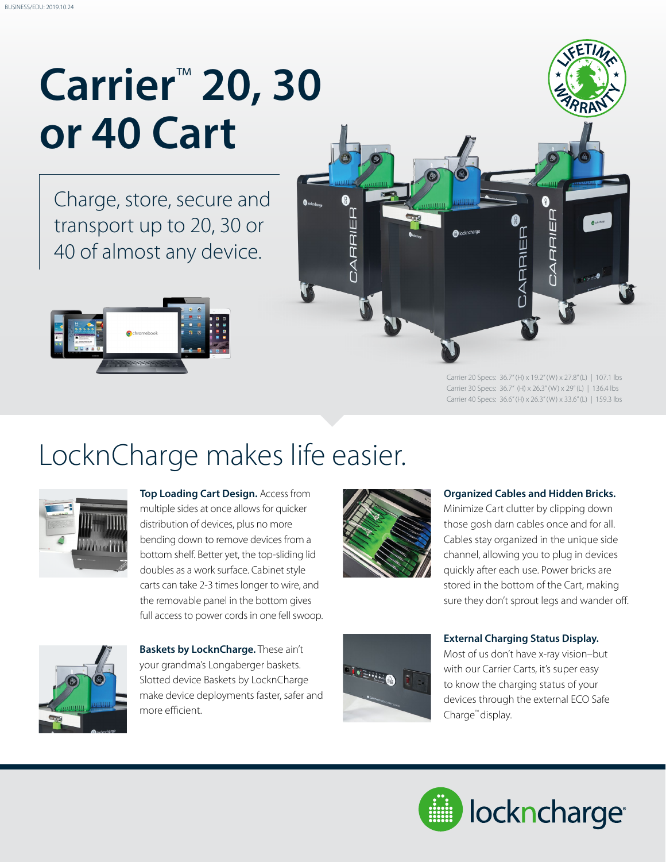# **Carrier**™ **20, 30 or 40 Cart**

Charge, store, secure and transport up to 20, 30 or 40 of almost any device.





Carrier 20 Specs: 36.7" (H) x 19.2" (W) x 27.8" (L) | 107.1 lbs Carrier 30 Specs: 36.7" (H) x 26.3" (W) x 29" (L) | 136.4 lbs Carrier 40 Specs: 36.6" (H) x 26.3" (W) x 33.6" (L) | 159.3 lbs

### LocknCharge makes life easier.



**Top Loading Cart Design.** Access from multiple sides at once allows for quicker distribution of devices, plus no more bending down to remove devices from a bottom shelf. Better yet, the top-sliding lid doubles as a work surface. Cabinet style carts can take 2-3 times longer to wire, and the removable panel in the bottom gives full access to power cords in one fell swoop.



#### **Organized Cables and Hidden Bricks.**

Minimize Cart clutter by clipping down those gosh darn cables once and for all. Cables stay organized in the unique side channel, allowing you to plug in devices quickly after each use. Power bricks are stored in the bottom of the Cart, making sure they don't sprout legs and wander off.



**Baskets by LocknCharge.** These ain't your grandma's Longaberger baskets. Slotted device Baskets by LocknCharge make device deployments faster, safer and more efficient.



#### **External Charging Status Display.**

Most of us don't have x-ray vision–but with our Carrier Carts, it's super easy to know the charging status of your devices through the external ECO Safe Charge™ display.